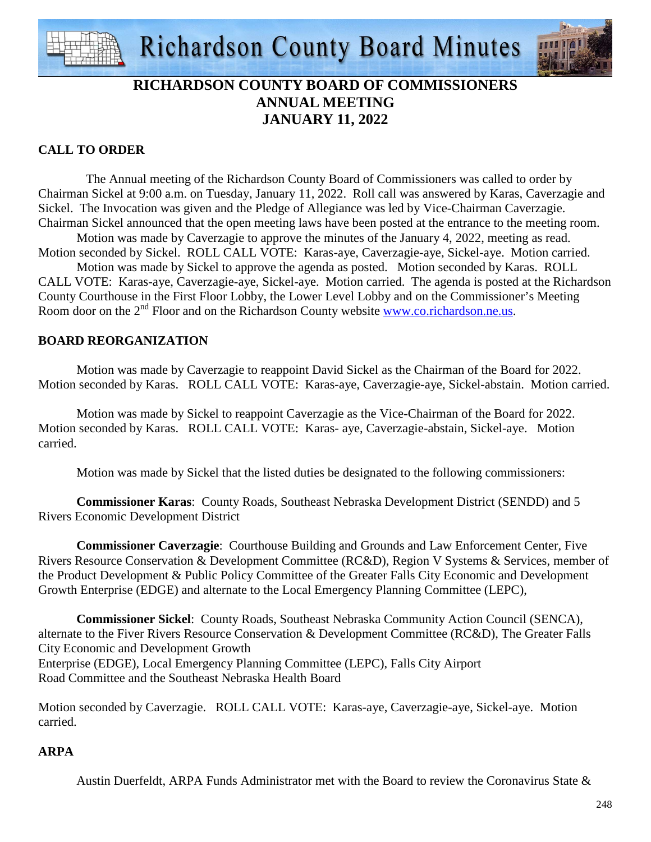



## **RICHARDSON COUNTY BOARD OF COMMISSIONERS ANNUAL MEETING JANUARY 11, 2022**

## **CALL TO ORDER**

 The Annual meeting of the Richardson County Board of Commissioners was called to order by Chairman Sickel at 9:00 a.m. on Tuesday, January 11, 2022. Roll call was answered by Karas, Caverzagie and Sickel. The Invocation was given and the Pledge of Allegiance was led by Vice-Chairman Caverzagie. Chairman Sickel announced that the open meeting laws have been posted at the entrance to the meeting room.

 Motion was made by Caverzagie to approve the minutes of the January 4, 2022, meeting as read. Motion seconded by Sickel. ROLL CALL VOTE: Karas-aye, Caverzagie-aye, Sickel-aye. Motion carried.

Motion was made by Sickel to approve the agenda as posted. Motion seconded by Karas. ROLL CALL VOTE: Karas-aye, Caverzagie-aye, Sickel-aye. Motion carried. The agenda is posted at the Richardson County Courthouse in the First Floor Lobby, the Lower Level Lobby and on the Commissioner's Meeting Room door on the 2<sup>nd</sup> Floor and on the Richardson County website www.co.richardson.ne.us.

## **BOARD REORGANIZATION**

 Motion was made by Caverzagie to reappoint David Sickel as the Chairman of the Board for 2022. Motion seconded by Karas. ROLL CALL VOTE: Karas-aye, Caverzagie-aye, Sickel-abstain. Motion carried.

 Motion was made by Sickel to reappoint Caverzagie as the Vice-Chairman of the Board for 2022. Motion seconded by Karas. ROLL CALL VOTE: Karas- aye, Caverzagie-abstain, Sickel-aye. Motion carried.

Motion was made by Sickel that the listed duties be designated to the following commissioners:

**Commissioner Karas**: County Roads, Southeast Nebraska Development District (SENDD) and 5 Rivers Economic Development District

**Commissioner Caverzagie**: Courthouse Building and Grounds and Law Enforcement Center, Five Rivers Resource Conservation & Development Committee (RC&D), Region V Systems & Services, member of the Product Development & Public Policy Committee of the Greater Falls City Economic and Development Growth Enterprise (EDGE) and alternate to the Local Emergency Planning Committee (LEPC),

**Commissioner Sickel**: County Roads, Southeast Nebraska Community Action Council (SENCA), alternate to the Fiver Rivers Resource Conservation & Development Committee (RC&D), The Greater Falls City Economic and Development Growth Enterprise (EDGE), Local Emergency Planning Committee (LEPC), Falls City Airport Road Committee and the Southeast Nebraska Health Board

Motion seconded by Caverzagie. ROLL CALL VOTE: Karas-aye, Caverzagie-aye, Sickel-aye. Motion carried.

## **ARPA**

Austin Duerfeldt, ARPA Funds Administrator met with the Board to review the Coronavirus State &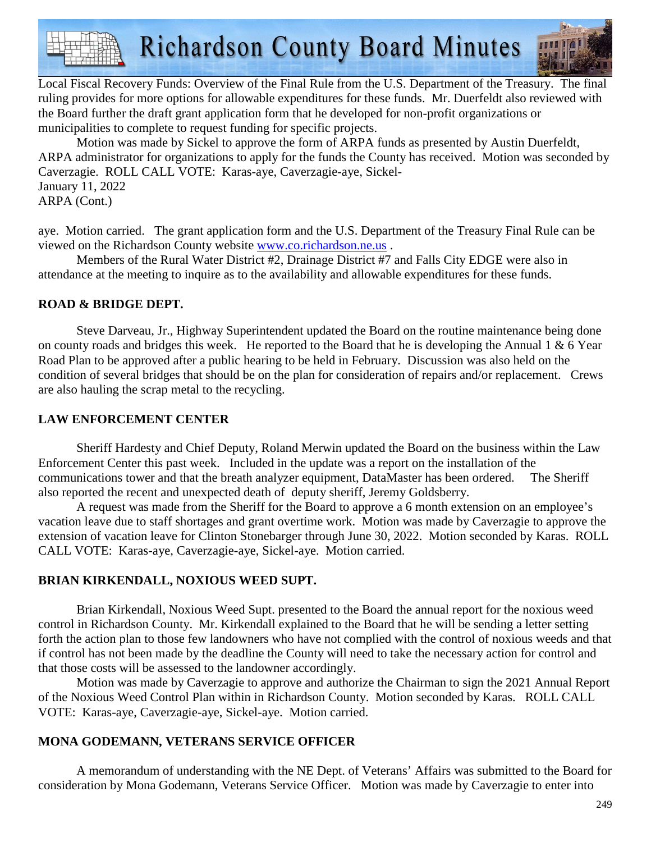**Richardson County Board Minutes** 



Local Fiscal Recovery Funds: Overview of the Final Rule from the U.S. Department of the Treasury. The final ruling provides for more options for allowable expenditures for these funds. Mr. Duerfeldt also reviewed with the Board further the draft grant application form that he developed for non-profit organizations or municipalities to complete to request funding for specific projects.

Motion was made by Sickel to approve the form of ARPA funds as presented by Austin Duerfeldt, ARPA administrator for organizations to apply for the funds the County has received. Motion was seconded by Caverzagie. ROLL CALL VOTE: Karas-aye, Caverzagie-aye, Sickel-January 11, 2022 ARPA (Cont.)

aye. Motion carried. The grant application form and the U.S. Department of the Treasury Final Rule can be viewed on the Richardson County website www.co.richardson.ne.us .

Members of the Rural Water District #2, Drainage District #7 and Falls City EDGE were also in attendance at the meeting to inquire as to the availability and allowable expenditures for these funds.

## **ROAD & BRIDGE DEPT.**

Steve Darveau, Jr., Highway Superintendent updated the Board on the routine maintenance being done on county roads and bridges this week. He reported to the Board that he is developing the Annual 1  $\&$  6 Year Road Plan to be approved after a public hearing to be held in February. Discussion was also held on the condition of several bridges that should be on the plan for consideration of repairs and/or replacement. Crews are also hauling the scrap metal to the recycling.

## **LAW ENFORCEMENT CENTER**

 Sheriff Hardesty and Chief Deputy, Roland Merwin updated the Board on the business within the Law Enforcement Center this past week. Included in the update was a report on the installation of the communications tower and that the breath analyzer equipment, DataMaster has been ordered. The Sheriff also reported the recent and unexpected death of deputy sheriff, Jeremy Goldsberry.

A request was made from the Sheriff for the Board to approve a 6 month extension on an employee's vacation leave due to staff shortages and grant overtime work. Motion was made by Caverzagie to approve the extension of vacation leave for Clinton Stonebarger through June 30, 2022. Motion seconded by Karas. ROLL CALL VOTE: Karas-aye, Caverzagie-aye, Sickel-aye. Motion carried.

## **BRIAN KIRKENDALL, NOXIOUS WEED SUPT.**

Brian Kirkendall, Noxious Weed Supt. presented to the Board the annual report for the noxious weed control in Richardson County. Mr. Kirkendall explained to the Board that he will be sending a letter setting forth the action plan to those few landowners who have not complied with the control of noxious weeds and that if control has not been made by the deadline the County will need to take the necessary action for control and that those costs will be assessed to the landowner accordingly.

 Motion was made by Caverzagie to approve and authorize the Chairman to sign the 2021 Annual Report of the Noxious Weed Control Plan within in Richardson County. Motion seconded by Karas. ROLL CALL VOTE: Karas-aye, Caverzagie-aye, Sickel-aye. Motion carried.

## **MONA GODEMANN, VETERANS SERVICE OFFICER**

 A memorandum of understanding with the NE Dept. of Veterans' Affairs was submitted to the Board for consideration by Mona Godemann, Veterans Service Officer. Motion was made by Caverzagie to enter into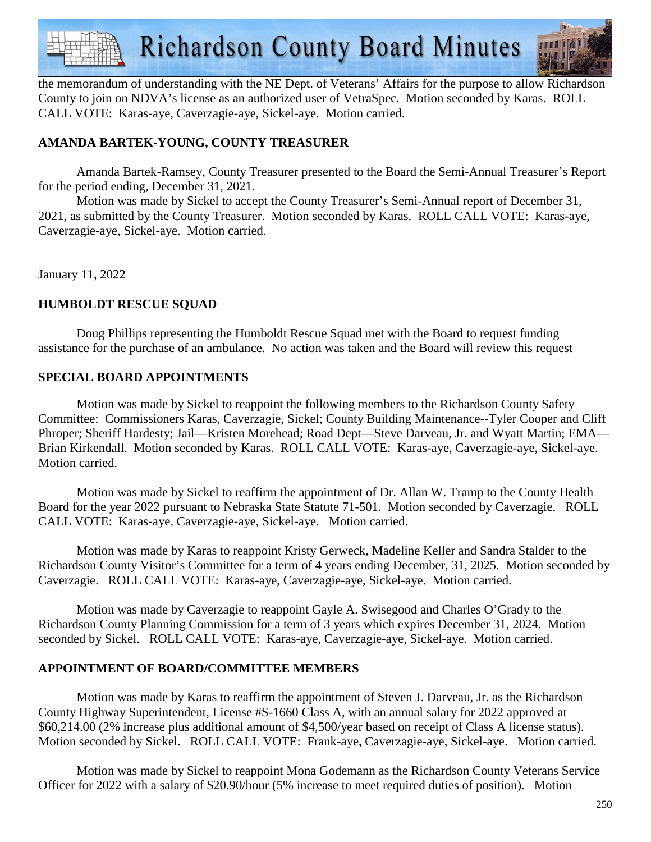

the memorandum of understanding with the NE Dept. of Veterans' Affairs for the purpose to allow Richardson County to join on NDVA's license as an authorized user of VetraSpec. Motion seconded by Karas. ROLL CALL VOTE: Karas-aye, Caverzagie-aye, Sickel-aye. Motion carried.

## **AMANDA BARTEK-YOUNG, COUNTY TREASURER**

 Amanda Bartek-Ramsey, County Treasurer presented to the Board the Semi-Annual Treasurer's Report for the period ending, December 31, 2021.

Motion was made by Sickel to accept the County Treasurer's Semi-Annual report of December 31, 2021, as submitted by the County Treasurer. Motion seconded by Karas. ROLL CALL VOTE: Karas-aye, Caverzagie-aye, Sickel-aye. Motion carried.

January 11, 2022

## **HUMBOLDT RESCUE SQUAD**

 Doug Phillips representing the Humboldt Rescue Squad met with the Board to request funding assistance for the purchase of an ambulance. No action was taken and the Board will review this request

## **SPECIAL BOARD APPOINTMENTS**

Motion was made by Sickel to reappoint the following members to the Richardson County Safety Committee: Commissioners Karas, Caverzagie, Sickel; County Building Maintenance--Tyler Cooper and Cliff Phroper; Sheriff Hardesty; Jail—Kristen Morehead; Road Dept—Steve Darveau, Jr. and Wyatt Martin; EMA— Brian Kirkendall. Motion seconded by Karas. ROLL CALL VOTE: Karas-aye, Caverzagie-aye, Sickel-aye. Motion carried.

 Motion was made by Sickel to reaffirm the appointment of Dr. Allan W. Tramp to the County Health Board for the year 2022 pursuant to Nebraska State Statute 71-501. Motion seconded by Caverzagie. ROLL CALL VOTE: Karas-aye, Caverzagie-aye, Sickel-aye. Motion carried.

 Motion was made by Karas to reappoint Kristy Gerweck, Madeline Keller and Sandra Stalder to the Richardson County Visitor's Committee for a term of 4 years ending December, 31, 2025. Motion seconded by Caverzagie. ROLL CALL VOTE: Karas-aye, Caverzagie-aye, Sickel-aye. Motion carried.

 Motion was made by Caverzagie to reappoint Gayle A. Swisegood and Charles O'Grady to the Richardson County Planning Commission for a term of 3 years which expires December 31, 2024. Motion seconded by Sickel. ROLL CALL VOTE: Karas-aye, Caverzagie-aye, Sickel-aye. Motion carried.

## **APPOINTMENT OF BOARD/COMMITTEE MEMBERS**

 Motion was made by Karas to reaffirm the appointment of Steven J. Darveau, Jr. as the Richardson County Highway Superintendent, License #S-1660 Class A, with an annual salary for 2022 approved at \$60,214.00 (2% increase plus additional amount of \$4,500/year based on receipt of Class A license status). Motion seconded by Sickel. ROLL CALL VOTE: Frank-aye, Caverzagie-aye, Sickel-aye. Motion carried.

 Motion was made by Sickel to reappoint Mona Godemann as the Richardson County Veterans Service Officer for 2022 with a salary of \$20.90/hour (5% increase to meet required duties of position). Motion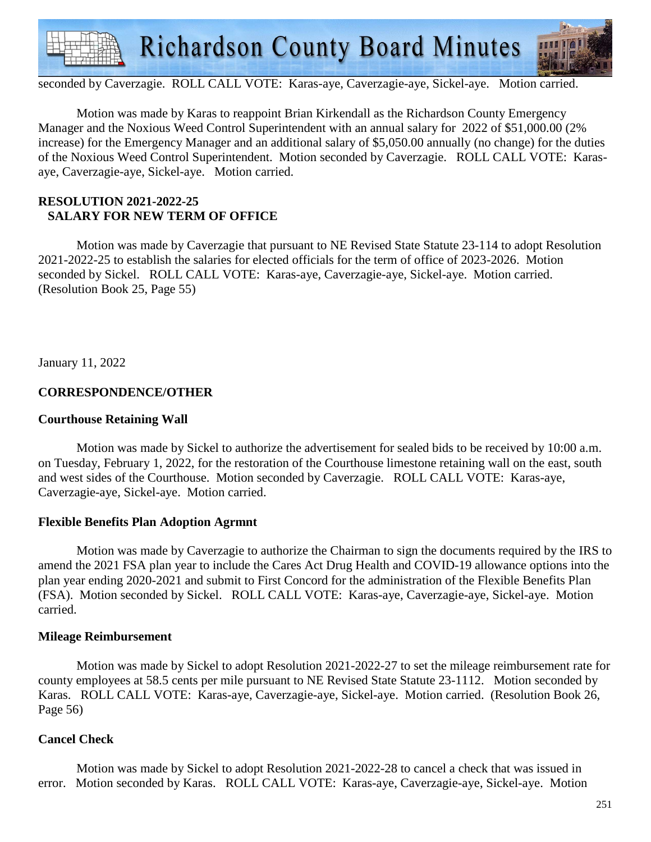

seconded by Caverzagie. ROLL CALL VOTE: Karas-aye, Caverzagie-aye, Sickel-aye. Motion carried.

 Motion was made by Karas to reappoint Brian Kirkendall as the Richardson County Emergency Manager and the Noxious Weed Control Superintendent with an annual salary for 2022 of \$51,000.00 (2% increase) for the Emergency Manager and an additional salary of \$5,050.00 annually (no change) for the duties of the Noxious Weed Control Superintendent. Motion seconded by Caverzagie. ROLL CALL VOTE: Karasaye, Caverzagie-aye, Sickel-aye. Motion carried.

#### **RESOLUTION 2021-2022-25 SALARY FOR NEW TERM OF OFFICE**

 Motion was made by Caverzagie that pursuant to NE Revised State Statute 23-114 to adopt Resolution 2021-2022-25 to establish the salaries for elected officials for the term of office of 2023-2026. Motion seconded by Sickel. ROLL CALL VOTE: Karas-aye, Caverzagie-aye, Sickel-aye. Motion carried. (Resolution Book 25, Page 55)

January 11, 2022

## **CORRESPONDENCE/OTHER**

#### **Courthouse Retaining Wall**

 Motion was made by Sickel to authorize the advertisement for sealed bids to be received by 10:00 a.m. on Tuesday, February 1, 2022, for the restoration of the Courthouse limestone retaining wall on the east, south and west sides of the Courthouse. Motion seconded by Caverzagie. ROLL CALL VOTE: Karas-aye, Caverzagie-aye, Sickel-aye. Motion carried.

#### **Flexible Benefits Plan Adoption Agrmnt**

 Motion was made by Caverzagie to authorize the Chairman to sign the documents required by the IRS to amend the 2021 FSA plan year to include the Cares Act Drug Health and COVID-19 allowance options into the plan year ending 2020-2021 and submit to First Concord for the administration of the Flexible Benefits Plan (FSA). Motion seconded by Sickel. ROLL CALL VOTE: Karas-aye, Caverzagie-aye, Sickel-aye. Motion carried.

#### **Mileage Reimbursement**

 Motion was made by Sickel to adopt Resolution 2021-2022-27 to set the mileage reimbursement rate for county employees at 58.5 cents per mile pursuant to NE Revised State Statute 23-1112. Motion seconded by Karas. ROLL CALL VOTE: Karas-aye, Caverzagie-aye, Sickel-aye. Motion carried. (Resolution Book 26, Page 56)

#### **Cancel Check**

 Motion was made by Sickel to adopt Resolution 2021-2022-28 to cancel a check that was issued in error. Motion seconded by Karas. ROLL CALL VOTE: Karas-aye, Caverzagie-aye, Sickel-aye. Motion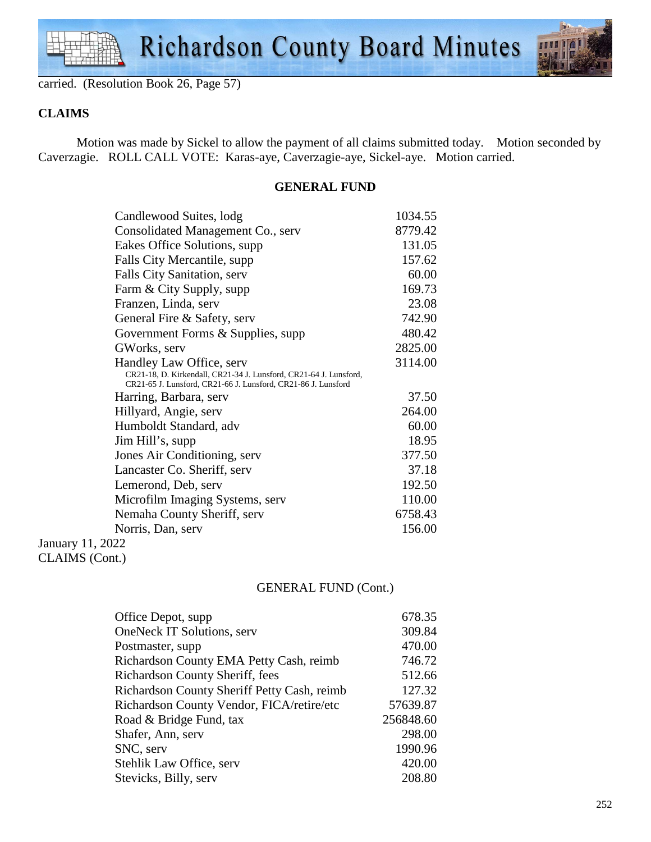



carried. (Resolution Book 26, Page 57)

## **CLAIMS**

 Motion was made by Sickel to allow the payment of all claims submitted today. Motion seconded by Caverzagie. ROLL CALL VOTE: Karas-aye, Caverzagie-aye, Sickel-aye. Motion carried.

#### **GENERAL FUND**

| Candlewood Suites, lodg                                                                                                            | 1034.55 |
|------------------------------------------------------------------------------------------------------------------------------------|---------|
| Consolidated Management Co., serv                                                                                                  | 8779.42 |
| Eakes Office Solutions, supp.                                                                                                      | 131.05  |
| Falls City Mercantile, supp.                                                                                                       | 157.62  |
| <b>Falls City Sanitation, serv</b>                                                                                                 | 60.00   |
| Farm & City Supply, supp                                                                                                           | 169.73  |
| Franzen, Linda, serv                                                                                                               | 23.08   |
| General Fire & Safety, serv                                                                                                        | 742.90  |
| Government Forms & Supplies, supp                                                                                                  | 480.42  |
| GWorks, serv                                                                                                                       | 2825.00 |
| Handley Law Office, serv                                                                                                           | 3114.00 |
| CR21-18, D. Kirkendall, CR21-34 J. Lunsford, CR21-64 J. Lunsford,<br>CR21-65 J. Lunsford, CR21-66 J. Lunsford, CR21-86 J. Lunsford |         |
| Harring, Barbara, serv                                                                                                             | 37.50   |
| Hillyard, Angie, serv                                                                                                              | 264.00  |
| Humboldt Standard, adv                                                                                                             | 60.00   |
| Jim Hill's, supp                                                                                                                   | 18.95   |
| Jones Air Conditioning, serv                                                                                                       | 377.50  |
| Lancaster Co. Sheriff, serv                                                                                                        | 37.18   |
| Lemerond, Deb, serv                                                                                                                | 192.50  |
| Microfilm Imaging Systems, serv                                                                                                    | 110.00  |
| Nemaha County Sheriff, serv                                                                                                        | 6758.43 |
| Norris, Dan, serv                                                                                                                  | 156.00  |
| Ianuary 11 $2022$                                                                                                                  |         |

January 11, 2022 CLAIMS (Cont.)

## GENERAL FUND (Cont.)

| Office Depot, supp                          | 678.35    |
|---------------------------------------------|-----------|
| <b>OneNeck IT Solutions, serv</b>           | 309.84    |
| Postmaster, supp.                           | 470.00    |
| Richardson County EMA Petty Cash, reimb     | 746.72    |
| Richardson County Sheriff, fees             | 512.66    |
| Richardson County Sheriff Petty Cash, reimb | 127.32    |
| Richardson County Vendor, FICA/retire/etc   | 57639.87  |
| Road & Bridge Fund, tax                     | 256848.60 |
| Shafer, Ann, serv                           | 298.00    |
| SNC, serv                                   | 1990.96   |
| Stehlik Law Office, serv                    | 420.00    |
| Stevicks, Billy, serv                       | 208.80    |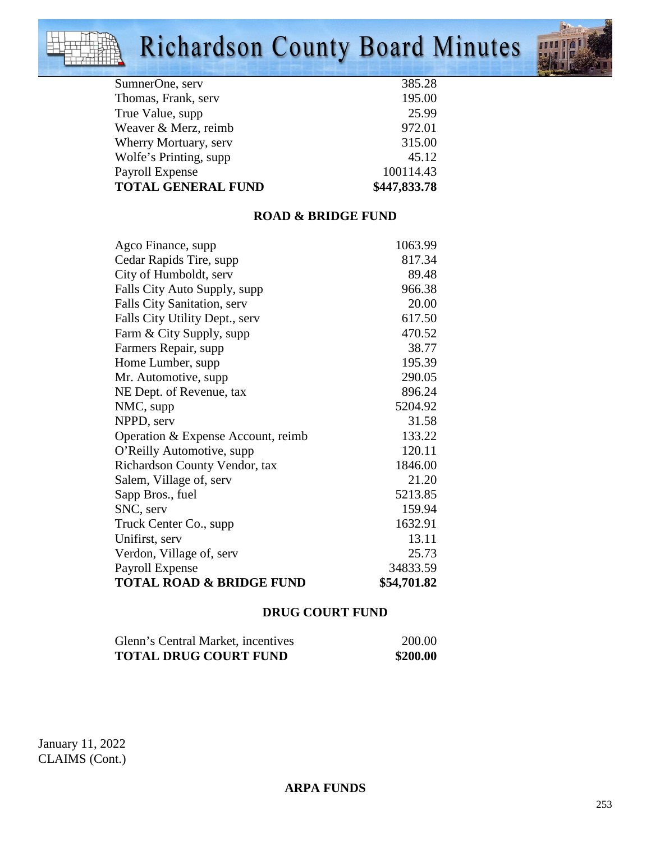# Richardson County Board Minutes



| 385.28       |
|--------------|
| 195.00       |
| 25.99        |
| 972.01       |
| 315.00       |
| 45.12        |
| 100114.43    |
| \$447,833.78 |
|              |

## **ROAD & BRIDGE FUND**

| <b>TOTAL ROAD &amp; BRIDGE FUND</b>              | \$54,701.82      |
|--------------------------------------------------|------------------|
| Payroll Expense                                  | 34833.59         |
| Verdon, Village of, serv                         | 25.73            |
| Unifirst, serv                                   | 13.11            |
| Truck Center Co., supp                           | 1632.91          |
| SNC, serv                                        | 159.94           |
| Sapp Bros., fuel                                 | 5213.85          |
| Salem, Village of, serv                          | 21.20            |
| Richardson County Vendor, tax                    | 1846.00          |
| O'Reilly Automotive, supp                        | 120.11           |
| Operation & Expense Account, reimb               | 133.22           |
| NPPD, serv                                       | 31.58            |
| NMC, supp                                        | 5204.92          |
| NE Dept. of Revenue, tax                         | 896.24           |
| Mr. Automotive, supp.                            | 290.05           |
| Home Lumber, supp                                | 195.39           |
| Farm & City Supply, supp<br>Farmers Repair, supp | 38.77            |
| Falls City Utility Dept., serv                   | 617.50<br>470.52 |
| Falls City Sanitation, serv                      | 20.00            |
| Falls City Auto Supply, supp                     | 966.38           |
| City of Humboldt, serv                           | 89.48            |
| Cedar Rapids Tire, supp                          | 817.34           |
| Agco Finance, supp                               | 1063.99          |
|                                                  |                  |

## **DRUG COURT FUND**

| Glenn's Central Market, incentives | 200.00   |
|------------------------------------|----------|
| <b>TOTAL DRUG COURT FUND</b>       | \$200.00 |

January 11, 2022 CLAIMS (Cont.)